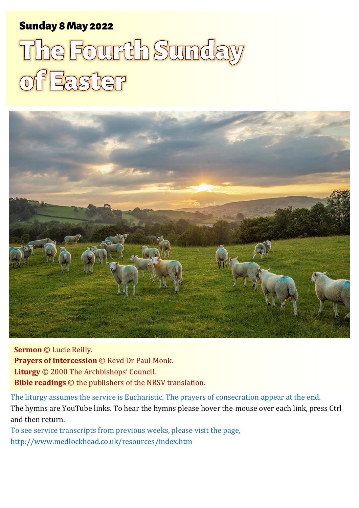# Sunday 8 May 2022 1 The Fourth Sunday of Easter Sunday 8May 2022

# The Fourth Sunday **of Easter**



**Sermon** © Lucie Reilly. **Prayers of intercession** © Revd Dr Paul Monk. **Liturgy** © 2000 The Archbishops' Council. **Bible readings** © the publishers of the NRSV translation.

The liturgy assumes the service is Eucharistic. The prayers of consecration appear at the end. The hymns are YouTube links. To hear the hymns please hover the mouse over each link, press Ctrl and then return.

To see service transcripts from previous weeks, please visit the page, <http://www.medlockhead.co.uk/resources/index.htm>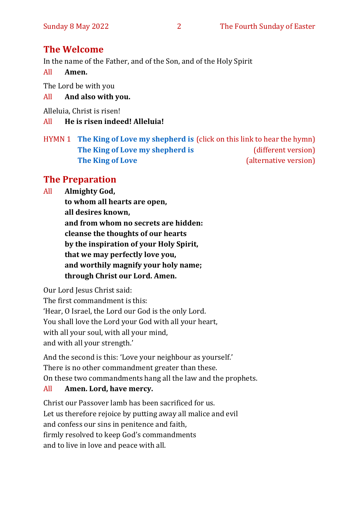# **The Welcome**

In the name of the Father, and of the Son, and of the Holy Spirit

All **Amen.**

The Lord be with you

All **And also with you.**

Alleluia, Christ is risen!

All **He is risen indeed! Alleluia!**

HYMN 1 **[The King of Love my shepherd is](https://www.youtube.com/watch?v=b3GFVW6m9Qo)** (click on this link to hear the hymn) **[The King of Love my shepherd is](https://www.youtube.com/watch?v=WLdPoQnylnA)** (different version) **[The King of Love](https://www.youtube.com/watch?v=AhPVFm9hUrQ)** (alternative version)

# **The Preparation**

All **Almighty God,**

**to whom all hearts are open, all desires known, and from whom no secrets are hidden: cleanse the thoughts of our hearts by the inspiration of your Holy Spirit, that we may perfectly love you, and worthily magnify your holy name; through Christ our Lord. Amen.**

Our Lord Jesus Christ said:

The first commandment is this: 'Hear, O Israel, the Lord our God is the only Lord. You shall love the Lord your God with all your heart,

with all your soul, with all your mind,

and with all your strength.'

And the second is this: 'Love your neighbour as yourself.' There is no other commandment greater than these. On these two commandments hang all the law and the prophets.

## All **Amen. Lord, have mercy.**

Christ our Passover lamb has been sacrificed for us. Let us therefore rejoice by putting away all malice and evil and confess our sins in penitence and faith, firmly resolved to keep God's commandments and to live in love and peace with all.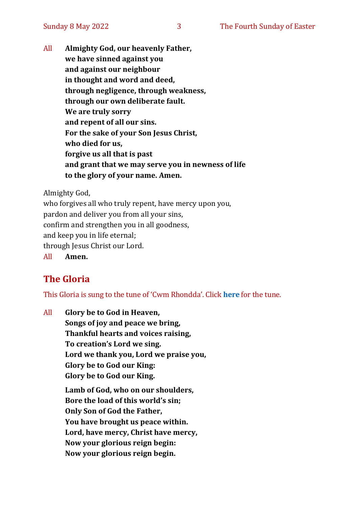All **Almighty God, our heavenly Father, we have sinned against you and against our neighbour in thought and word and deed, through negligence, through weakness, through our own deliberate fault. We are truly sorry and repent of all our sins. For the sake of your Son Jesus Christ, who died for us, forgive us all that is past and grant that we may serve you in newness of life to the glory of your name. Amen.**

Almighty God,

who forgives all who truly repent, have mercy upon you, pardon and deliver you from all your sins, confirm and strengthen you in all goodness, and keep you in life eternal; through Jesus Christ our Lord. All **Amen.**

# **The Gloria**

This Gloria is sung to the tune of 'Cwm Rhondda'. Click **[here](about:blank)** for the tune.

All **Glory be to God in Heaven, Songs of joy and peace we bring, Thankful hearts and voices raising, To creation's Lord we sing. Lord we thank you, Lord we praise you, Glory be to God our King: Glory be to God our King.**

> **Lamb of God, who on our shoulders, Bore the load of this world's sin; Only Son of God the Father, You have brought us peace within. Lord, have mercy, Christ have mercy, Now your glorious reign begin: Now your glorious reign begin.**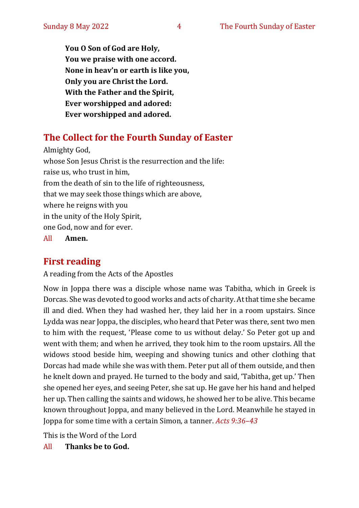**You O Son of God are Holy, You we praise with one accord. None in heav'n or earth is like you, Only you are Christ the Lord. With the Father and the Spirit, Ever worshipped and adored: Ever worshipped and adored.**

# **The Collect for the Fourth Sunday of Easter**

Almighty God, whose Son Jesus Christ is the resurrection and the life: raise us, who trust in him, from the death of sin to the life of righteousness, that we may seek those things which are above, where he reigns with you in the unity of the Holy Spirit, one God, now and for ever.

All **Amen.**

# **First reading**

A reading from the Acts of the Apostles

Now in Joppa there was a disciple whose name was Tabitha, which in Greek is Dorcas. She was devoted to good works and acts of charity. At that time she became ill and died. When they had washed her, they laid her in a room upstairs. Since Lydda was near Joppa, the disciples, who heard that Peter was there, sent two men to him with the request, 'Please come to us without delay.' So Peter got up and went with them; and when he arrived, they took him to the room upstairs. All the widows stood beside him, weeping and showing tunics and other clothing that Dorcas had made while she was with them. Peter put all of them outside, and then he knelt down and prayed. He turned to the body and said, 'Tabitha, get up.' Then she opened her eyes, and seeing Peter, she sat up. He gave her his hand and helped her up. Then calling the saints and widows, he showed her to be alive. This became known throughout Joppa, and many believed in the Lord. Meanwhile he stayed in Joppa for some time with a certain Simon, a tanner. *Acts 9:36–43*

This is the Word of the Lord

All **Thanks be to God.**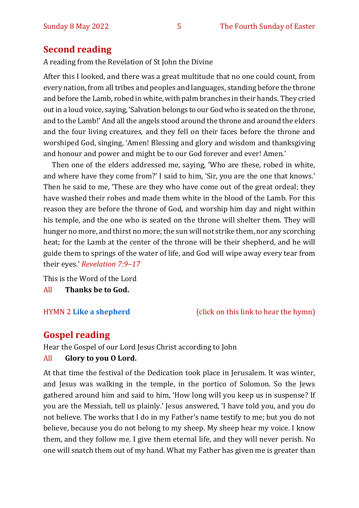## **Second reading**

A reading from the Revelation of St John the Divine

After this I looked, and there was a great multitude that no one could count, from every nation, from all tribes and peoples and languages, standing before the throne and before the Lamb, robed in white, with palm branches in their hands. They cried out in a loud voice, saying, 'Salvation belongs to our God who is seated on the throne, and to the Lamb!' And all the angels stood around the throne and around the elders and the four living creatures, and they fell on their faces before the throne and worshiped God, singing, 'Amen! Blessing and glory and wisdom and thanksgiving and honour and power and might be to our God forever and ever! Amen.'

Then one of the elders addressed me, saying, 'Who are these, robed in white, and where have they come from?' I said to him, 'Sir, you are the one that knows.' Then he said to me, 'These are they who have come out of the great ordeal; they have washed their robes and made them white in the blood of the Lamb. For this reason they are before the throne of God, and worship him day and night within his temple, and the one who is seated on the throne will shelter them. They will hunger no more, and thirst no more; the sun will not strike them, nor any scorching heat; for the Lamb at the center of the throne will be their shepherd, and he will guide them to springs of the water of life, and God will wipe away every tear from their eyes.' *Revelation 7:9–17*

This is the Word of the Lord All **Thanks be to God.**

HYMN 2 **[Like a shepherd](https://www.youtube.com/watch?v=jLaVLAWaD1Q)** (click on this link to hear the hymn)

## **Gospel reading**

Hear the Gospel of our Lord Jesus Christ according to John All **Glory to you O Lord.**

At that time the festival of the Dedication took place in Jerusalem. It was winter, and Jesus was walking in the temple, in the portico of Solomon. So the Jews gathered around him and said to him, 'How long will you keep us in suspense? If you are the Messiah, tell us plainly.' Jesus answered, 'I have told you, and you do not believe. The works that I do in my Father's name testify to me; but you do not believe, because you do not belong to my sheep. My sheep hear my voice. I know them, and they follow me. I give them eternal life, and they will never perish. No one will snatch them out of my hand. What my Father has given me is greater than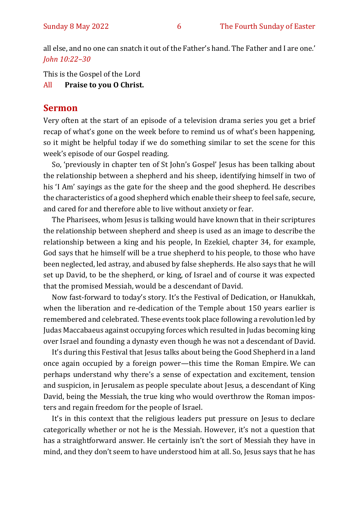all else, and no one can snatch it out of the Father's hand. The Father and I are one.' *John 10:22–30*

This is the Gospel of the Lord

All **Praise to you O Christ.** 

#### **Sermon**

Very often at the start of an episode of a television drama series you get a brief recap of what's gone on the week before to remind us of what's been happening, so it might be helpful today if we do something similar to set the scene for this week's episode of our Gospel reading.

So, 'previously in chapter ten of St John's Gospel' Jesus has been talking about the relationship between a shepherd and his sheep, identifying himself in two of his 'I Am' sayings as the gate for the sheep and the good shepherd. He describes the characteristics of a good shepherd which enable their sheep to feel safe, secure, and cared for and therefore able to live without anxiety or fear.

The Pharisees, whom Jesus is talking would have known that in their scriptures the relationship between shepherd and sheep is used as an image to describe the relationship between a king and his people, In Ezekiel, chapter 34, for example, God says that he himself will be a true shepherd to his people, to those who have been neglected, led astray, and abused by false shepherds. He also says that he will set up David, to be the shepherd, or king, of Israel and of course it was expected that the promised Messiah, would be a descendant of David.

Now fast-forward to today's story. It's the Festival of Dedication, or Hanukkah, when the liberation and re-dedication of the Temple about 150 years earlier is remembered and celebrated. These events took place following a revolution led by Judas Maccabaeus against occupying forces which resulted in Judas becoming king over Israel and founding a dynasty even though he was not a descendant of David.

It's during this Festival that Jesus talks about being the Good Shepherd in a land once again occupied by a foreign power—this time the Roman Empire. We can perhaps understand why there's a sense of expectation and excitement, tension and suspicion, in Jerusalem as people speculate about Jesus, a descendant of King David, being the Messiah, the true king who would overthrow the Roman imposters and regain freedom for the people of Israel.

It's in this context that the religious leaders put pressure on Jesus to declare categorically whether or not he is the Messiah. However, it's not a question that has a straightforward answer. He certainly isn't the sort of Messiah they have in mind, and they don't seem to have understood him at all. So, Jesus says that he has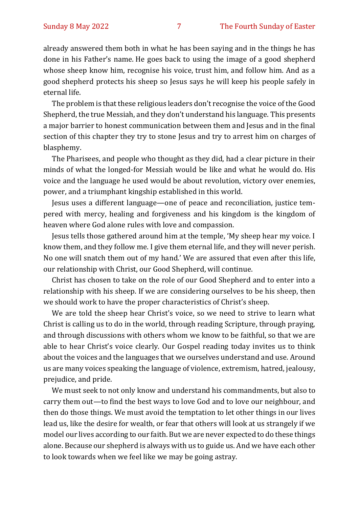already answered them both in what he has been saying and in the things he has done in his Father's name. He goes back to using the image of a good shepherd whose sheep know him, recognise his voice, trust him, and follow him. And as a good shepherd protects his sheep so Jesus says he will keep his people safely in eternal life.

The problem is that these religious leaders don't recognise the voice of the Good Shepherd, the true Messiah, and they don't understand his language. This presents a major barrier to honest communication between them and Jesus and in the final section of this chapter they try to stone Jesus and try to arrest him on charges of blasphemy.

The Pharisees, and people who thought as they did, had a clear picture in their minds of what the longed-for Messiah would be like and what he would do. His voice and the language he used would be about revolution, victory over enemies, power, and a triumphant kingship established in this world.

Jesus uses a different language—one of peace and reconciliation, justice tempered with mercy, healing and forgiveness and his kingdom is the kingdom of heaven where God alone rules with love and compassion.

Jesus tells those gathered around him at the temple, 'My sheep hear my voice. I know them, and they follow me. I give them eternal life, and they will never perish. No one will snatch them out of my hand.' We are assured that even after this life, our relationship with Christ, our Good Shepherd, will continue.

Christ has chosen to take on the role of our Good Shepherd and to enter into a relationship with his sheep. If we are considering ourselves to be his sheep, then we should work to have the proper characteristics of Christ's sheep.

We are told the sheep hear Christ's voice, so we need to strive to learn what Christ is calling us to do in the world, through reading Scripture, through praying, and through discussions with others whom we know to be faithful, so that we are able to hear Christ's voice clearly. Our Gospel reading today invites us to think about the voices and the languages that we ourselves understand and use. Around us are many voices speaking the language of violence, extremism, hatred, jealousy, prejudice, and pride.

We must seek to not only know and understand his commandments, but also to carry them out—to find the best ways to love God and to love our neighbour, and then do those things. We must avoid the temptation to let other things in our lives lead us, like the desire for wealth, or fear that others will look at us strangely if we model our lives according to our faith. But we are never expected to do these things alone. Because our shepherd is always with us to guide us. And we have each other to look towards when we feel like we may be going astray.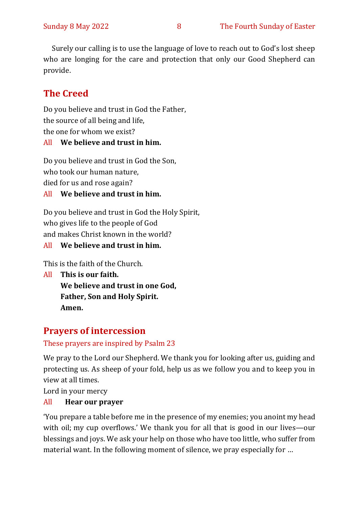Surely our calling is to use the language of love to reach out to God's lost sheep who are longing for the care and protection that only our Good Shepherd can provide.

# **The Creed**

Do you believe and trust in God the Father, the source of all being and life, the one for whom we exist?

#### All **We believe and trust in him.**

Do you believe and trust in God the Son, who took our human nature, died for us and rose again?

#### All **We believe and trust in him.**

Do you believe and trust in God the Holy Spirit, who gives life to the people of God and makes Christ known in the world?

#### All **We believe and trust in him.**

This is the faith of the Church.

All **This is our faith. We believe and trust in one God, Father, Son and Holy Spirit. Amen.**

# **Prayers of intercession**

#### These prayers are inspired by Psalm 23

We pray to the Lord our Shepherd. We thank you for looking after us, guiding and protecting us. As sheep of your fold, help us as we follow you and to keep you in view at all times.

Lord in your mercy

#### All **Hear our prayer**

'You prepare a table before me in the presence of my enemies; you anoint my head with oil; my cup overflows.' We thank you for all that is good in our lives—our blessings and joys. We ask your help on those who have too little, who suffer from material want. In the following moment of silence, we pray especially for …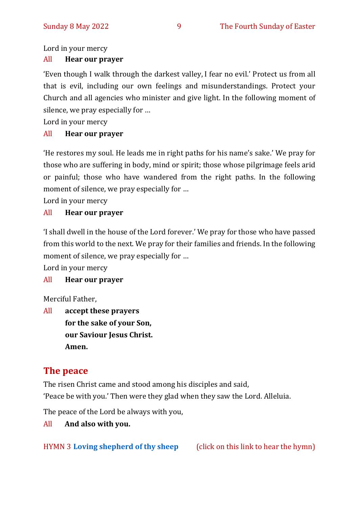Lord in your mercy

#### All **Hear our prayer**

'Even though I walk through the darkest valley, I fear no evil.' Protect us from all that is evil, including our own feelings and misunderstandings. Protect your Church and all agencies who minister and give light. In the following moment of silence, we pray especially for …

Lord in your mercy

#### All **Hear our prayer**

'He restores my soul. He leads me in right paths for his name's sake.' We pray for those who are suffering in body, mind or spirit; those whose pilgrimage feels arid or painful; those who have wandered from the right paths. In the following moment of silence, we pray especially for …

Lord in your mercy

#### All **Hear our prayer**

'I shall dwell in the house of the Lord forever.' We pray for those who have passed from this world to the next. We pray for their families and friends. In the following moment of silence, we pray especially for …

Lord in your mercy

#### All **Hear our prayer**

Merciful Father,

All **accept these prayers for the sake of your Son, our Saviour Jesus Christ. Amen.**

# **The peace**

The risen Christ came and stood among his disciples and said,

'Peace be with you.' Then were they glad when they saw the Lord. Alleluia.

The peace of the Lord be always with you,

#### All **And also with you.**

HYMN 3 **[Loving shepherd of thy sheep](https://www.youtube.com/watch?v=H6e2bFhvpGs&list=RDH6e2bFhvpGs&start_radio=1)** (click on this link to hear the hymn)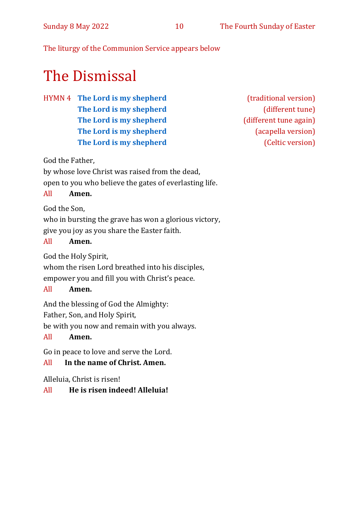The liturgy of the Communion Service appears below

# The Dismissal

HYMN 4 **[The Lord is my shepherd](https://www.youtube.com/watch?v=-Msh0PAJfPU)** (traditional version) **[The Lord is my shepherd](https://www.youtube.com/watch?v=-eIQQayhpak)** (different tune) **[The Lord is my shepherd](https://www.youtube.com/watch?v=mGoxVDUlH7E)** (different tune again) **[The Lord is my shepherd](https://www.youtube.com/watch?v=IDAIwMvFcXQ)** (acapella version) **[The Lord is my shepherd](https://www.youtube.com/watch?v=GL5VjnO7mB4)** (Celtic version)

God the Father,

by whose love Christ was raised from the dead,

open to you who believe the gates of everlasting life.

#### All **Amen.**

God the Son,

who in bursting the grave has won a glorious victory, give you joy as you share the Easter faith.

#### All **Amen.**

God the Holy Spirit,

whom the risen Lord breathed into his disciples,

empower you and fill you with Christ's peace.

#### All **Amen.**

And the blessing of God the Almighty:

Father, Son, and Holy Spirit,

be with you now and remain with you always.

#### All **Amen.**

Go in peace to love and serve the Lord.

#### All **In the name of Christ. Amen.**

Alleluia, Christ is risen!

#### All **He is risen indeed! Alleluia!**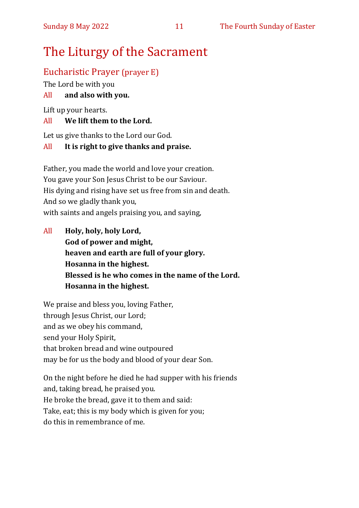# The Liturgy of the Sacrament

# Eucharistic Prayer (prayer E)

The Lord be with you

# All **and also with you.**

Lift up your hearts.

# All **We lift them to the Lord.**

Let us give thanks to the Lord our God.

# All **It is right to give thanks and praise.**

Father, you made the world and love your creation. You gave your Son Jesus Christ to be our Saviour. His dying and rising have set us free from sin and death. And so we gladly thank you, with saints and angels praising you, and saying,

All **Holy, holy, holy Lord, God of power and might, heaven and earth are full of your glory. Hosanna in the highest. Blessed is he who comes in the name of the Lord. Hosanna in the highest.**

We praise and bless you, loving Father, through Jesus Christ, our Lord; and as we obey his command, send your Holy Spirit, that broken bread and wine outpoured may be for us the body and blood of your dear Son.

On the night before he died he had supper with his friends and, taking bread, he praised you. He broke the bread, gave it to them and said: Take, eat; this is my body which is given for you; do this in remembrance of me.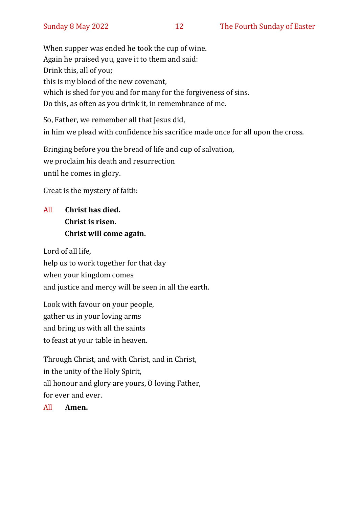When supper was ended he took the cup of wine. Again he praised you, gave it to them and said: Drink this, all of you; this is my blood of the new covenant, which is shed for you and for many for the forgiveness of sins. Do this, as often as you drink it, in remembrance of me.

So, Father, we remember all that Jesus did, in him we plead with confidence his sacrifice made once for all upon the cross.

Bringing before you the bread of life and cup of salvation, we proclaim his death and resurrection until he comes in glory.

Great is the mystery of faith:

# All **Christ has died. Christ is risen. Christ will come again.**

Lord of all life, help us to work together for that day when your kingdom comes and justice and mercy will be seen in all the earth.

Look with favour on your people, gather us in your loving arms and bring us with all the saints to feast at your table in heaven.

Through Christ, and with Christ, and in Christ, in the unity of the Holy Spirit, all honour and glory are yours, O loving Father, for ever and ever.

All **Amen.**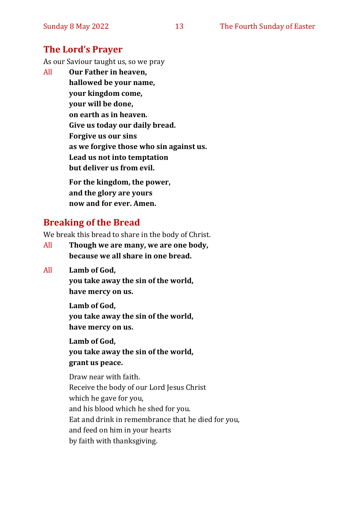#### **The Lord's Prayer**

As our Saviour taught us, so we pray

All **Our Father in heaven, hallowed be your name, your kingdom come, your will be done, on earth as in heaven. Give us today our daily bread. Forgive us our sins as we forgive those who sin against us. Lead us not into temptation but deliver us from evil. For the kingdom, the power,** 

**and the glory are yours now and for ever. Amen.**

# **Breaking of the Bread**

We break this bread to share in the body of Christ.

- All **Though we are many, we are one body, because we all share in one bread.**
- All **Lamb of God,**

**you take away the sin of the world, have mercy on us.**

**Lamb of God,** 

**you take away the sin of the world, have mercy on us.**

**Lamb of God,** 

**you take away the sin of the world, grant us peace.**

Draw near with faith. Receive the body of our Lord Jesus Christ which he gave for you, and his blood which he shed for you. Eat and drink in remembrance that he died for you, and feed on him in your hearts by faith with thanksgiving.